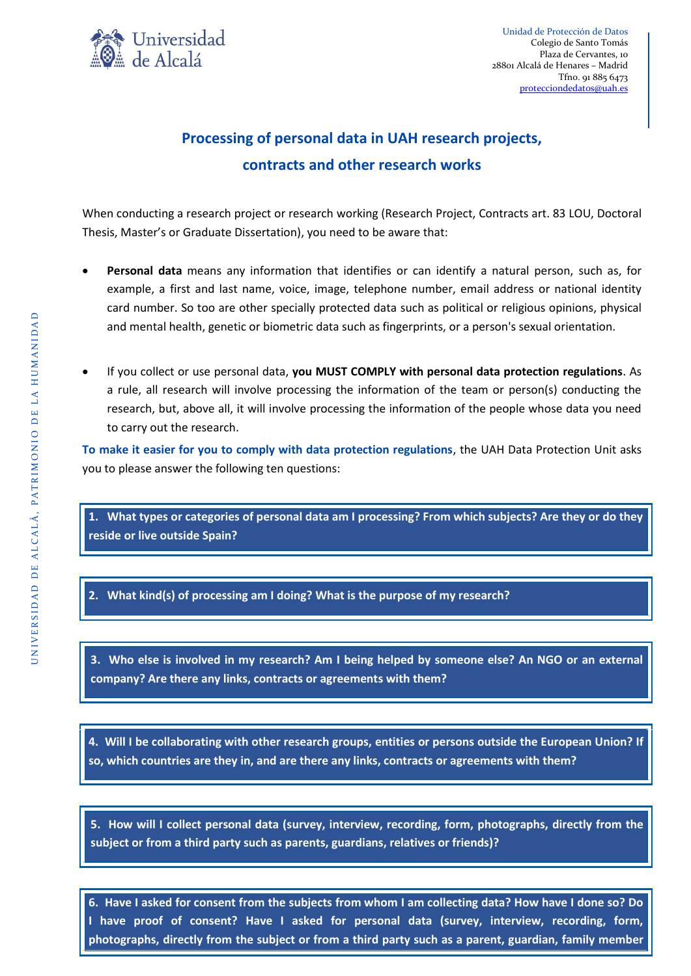

Unidad de Protección de Datos Colegio de Santo Tomás Plaza de Cervantes, 10 28801 Alcalá de Henares – Madrid Tfno. 91 885 6473 [protecciondedatos@uah.es](mailto:protecciondedatos@uah.es)

## **Processing of personal data in UAH research projects, contracts and other research works**

When conducting a research project or research working (Research Project, Contracts art. 83 LOU, Doctoral Thesis, Master's or Graduate Dissertation), you need to be aware that:

- **Personal data** means any information that identifies or can identify a natural person, such as, for example, a first and last name, voice, image, telephone number, email address or national identity card number. So too are other specially protected data such as political or religious opinions, physical and mental health, genetic or biometric data such as fingerprints, or a person's sexual orientation.
- If you collect or use personal data, **you MUST COMPLY with personal data protection regulations**. As a rule, all research will involve processing the information of the team or person(s) conducting the research, but, above all, it will involve processing the information of the people whose data you need to carry out the research.

**To make it easier for you to comply with data protection regulations**, the UAH Data Protection Unit asks you to please answer the following ten questions:

**1. What types or categories of personal data am I processing? From which subjects? Are they or do they reside or live outside Spain?**

**2. What kind(s) of processing am I doing? What is the purpose of my research?**

**3. Who else is involved in my research? Am I being helped by someone else? An NGO or an external company? Are there any links, contracts or agreements with them?**

**4. Will I be collaborating with other research groups, entities or persons outside the European Union? If so, which countries are they in, and are there any links, contracts or agreements with them?**

**5. How will I collect personal data (survey, interview, recording, form, photographs, directly from the subject or from a third party such as parents, guardians, relatives or friends)?**

**6. Have I asked for consent from the subjects from whom I am collecting data? How have I done so? Do I have proof of consent? Have I asked for personal data (survey, interview, recording, form, photographs, directly from the subject or from a third party such as a parent, guardian, family member**